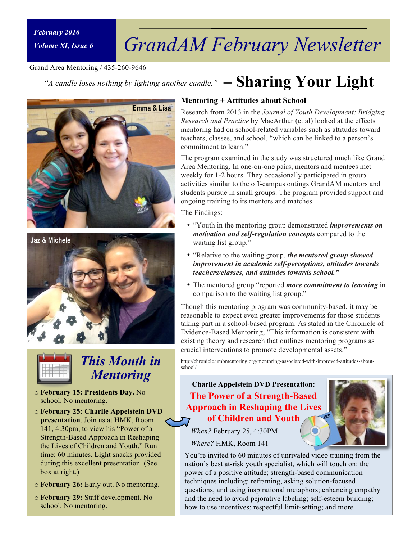*February 2016 Volume XI, Issue 6*

# *GrandAM February Newsletter*

Grand Area Mentoring / 435-260-9646

# *"A candle loses nothing by lighting another candle."*  $\boldsymbol{\mathrm{Sharing\; Your\; Light}}$







# *This Month in Mentoring*

- o **February 15: Presidents Day.** No school. No mentoring.
- o **February 25: Charlie Appelstein DVD presentation**. Join us at HMK, Room 141, 4:30pm, to view his "Power of a Strength-Based Approach in Reshaping the Lives of Children and Youth." Run time: 60 minutes. Light snacks provided during this excellent presentation. (See box at right.)
- o **February 26:** Early out. No mentoring.
- o **February 29:** Staff development. No school. No mentoring.

### **Mentoring + Attitudes about School**

Research from 2013 in the *Journal of Youth Development: Bridging Research and Practice* by MacArthur (et al) looked at the effects mentoring had on school-related variables such as attitudes toward teachers, classes, and school, "which can be linked to a person's commitment to learn."

The program examined in the study was structured much like Grand Area Mentoring. In one-on-one pairs, mentors and mentees met weekly for 1-2 hours. They occasionally participated in group activities similar to the off-campus outings GrandAM mentors and students pursue in small groups. The program provided support and ongoing training to its mentors and matches.

#### The Findings:

- "Youth in the mentoring group demonstrated *improvements on motivation and self-regulation concepts* compared to the waiting list group."
- "Relative to the waiting group, *the mentored group showed improvement in academic self-perceptions, attitudes towards teachers/classes, and attitudes towards school."*
- The mentored group "reported *more commitment to learning* in comparison to the waiting list group."

Though this mentoring program was community-based, it may be reasonable to expect even greater improvements for those students taking part in a school-based program. As stated in the Chronicle of Evidence-Based Mentoring, "This information is consistent with existing theory and research that outlines mentoring programs as crucial interventions to promote developmental assets."

http://chronicle.umbmentoring.org/mentoring-associated-with-improved-attitudes-aboutschool/

# **Charlie Appelstein DVD Presentation: The Power of a Strength-Based Approach in Reshaping the Lives of Children and Youth**

*When?* February 25, 4:30PM

*Where?* HMK, Room 141

You're invited to 60 minutes of unrivaled video training from the nation's best at-risk youth specialist, which will touch on: the power of a positive attitude; strength-based communication techniques including: reframing, asking solution-focused questions, and using inspirational metaphors; enhancing empathy and the need to avoid pejorative labeling; self-esteem building; how to use incentives; respectful limit-setting; and more.